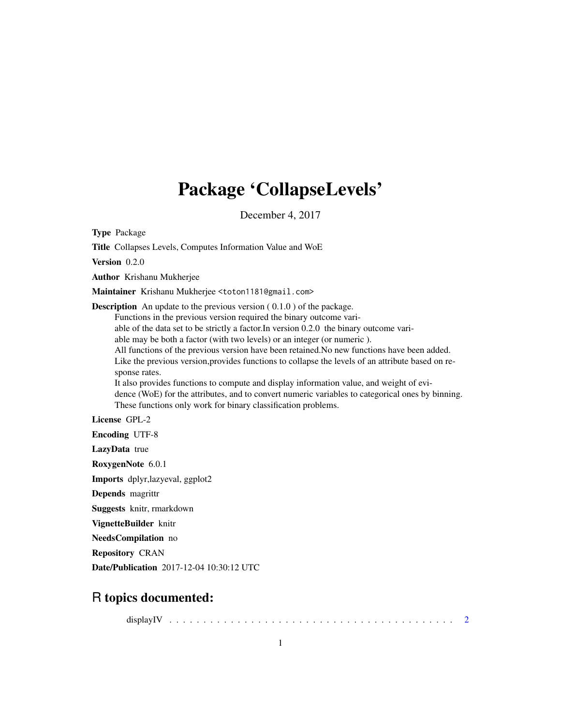## Package 'CollapseLevels'

December 4, 2017

Type Package

Title Collapses Levels, Computes Information Value and WoE

Version 0.2.0

Author Krishanu Mukherjee

Maintainer Krishanu Mukherjee <toton1181@gmail.com>

**Description** An update to the previous version (0.1.0) of the package.

Functions in the previous version required the binary outcome variable of the data set to be strictly a factor.In version 0.2.0 the binary outcome variable may be both a factor (with two levels) or an integer (or numeric ). All functions of the previous version have been retained.No new functions have been added. Like the previous version,provides functions to collapse the levels of an attribute based on response rates. It also provides functions to compute and display information value, and weight of evidence (WoE) for the attributes, and to convert numeric variables to categorical ones by binning. These functions only work for binary classification problems.

#### License GPL-2

Encoding UTF-8

LazyData true

RoxygenNote 6.0.1

Imports dplyr,lazyeval, ggplot2

Depends magrittr

Suggests knitr, rmarkdown

VignetteBuilder knitr

NeedsCompilation no

Repository CRAN

Date/Publication 2017-12-04 10:30:12 UTC

### R topics documented:

displayIV . . . . . . . . . . . . . . . . . . . . . . . . . . . . . . . . . . . . . . . . . . [2](#page-1-0)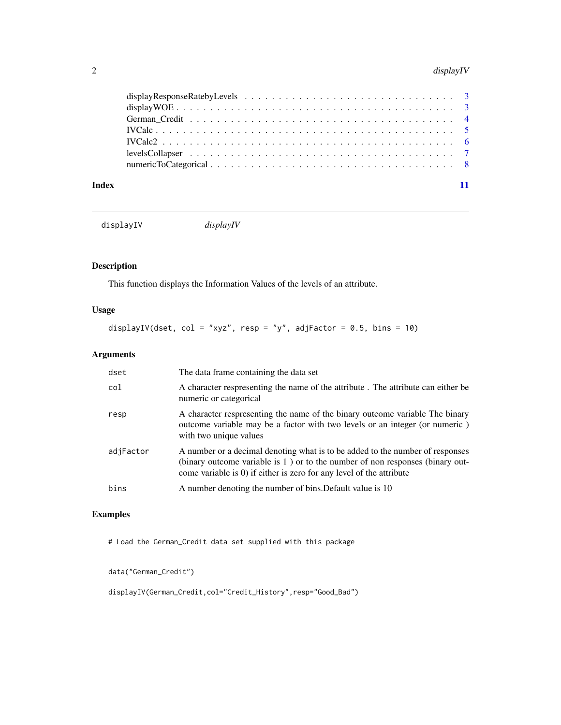#### <span id="page-1-0"></span> $2 \,$  displayIV

| Index |  |
|-------|--|

displayIV *displayIV*

#### Description

This function displays the Information Values of the levels of an attribute.

#### Usage

displayIV(dset, col = "xyz", resp = "y", adjFactor =  $0.5$ , bins =  $10$ )

#### Arguments

| dset      | The data frame containing the data set                                                                                                                                                                                                 |
|-----------|----------------------------------------------------------------------------------------------------------------------------------------------------------------------------------------------------------------------------------------|
| col       | A character respresenting the name of the attribute. The attribute can either be<br>numeric or categorical                                                                                                                             |
| resp      | A character respresenting the name of the binary outcome variable The binary<br>outcome variable may be a factor with two levels or an integer (or numeric)<br>with two unique values                                                  |
| adjFactor | A number or a decimal denoting what is to be added to the number of responses<br>(binary outcome variable is 1) or to the number of non responses (binary out-<br>come variable is 0) if either is zero for any level of the attribute |
| bins      | A number denoting the number of bins. Default value is 10                                                                                                                                                                              |

#### Examples

# Load the German\_Credit data set supplied with this package

data("German\_Credit")

displayIV(German\_Credit,col="Credit\_History",resp="Good\_Bad")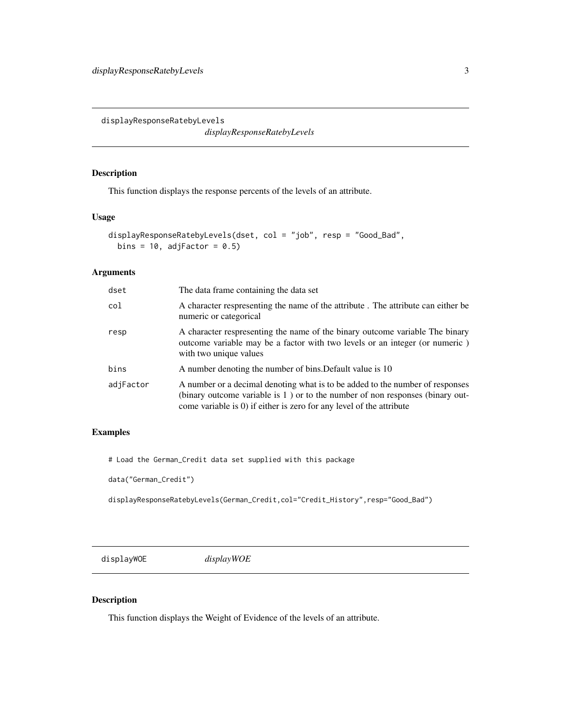<span id="page-2-0"></span>displayResponseRatebyLevels

*displayResponseRatebyLevels*

#### Description

This function displays the response percents of the levels of an attribute.

#### Usage

```
displayResponseRatebyLevels(dset, col = "job", resp = "Good_Bad",
 bins = 10, adjFactor = 0.5)
```
#### Arguments

| dset      | The data frame containing the data set                                                                                                                                                                                                 |
|-----------|----------------------------------------------------------------------------------------------------------------------------------------------------------------------------------------------------------------------------------------|
| col       | A character respresenting the name of the attribute. The attribute can either be<br>numeric or categorical                                                                                                                             |
| resp      | A character respresenting the name of the binary outcome variable The binary<br>outcome variable may be a factor with two levels or an integer (or numeric)<br>with two unique values                                                  |
| bins      | A number denoting the number of bins. Default value is 10                                                                                                                                                                              |
| adjFactor | A number or a decimal denoting what is to be added to the number of responses<br>(binary outcome variable is 1) or to the number of non responses (binary out-<br>come variable is 0) if either is zero for any level of the attribute |

#### Examples

# Load the German\_Credit data set supplied with this package

data("German\_Credit")

displayResponseRatebyLevels(German\_Credit,col="Credit\_History",resp="Good\_Bad")

displayWOE *displayWOE*

#### Description

This function displays the Weight of Evidence of the levels of an attribute.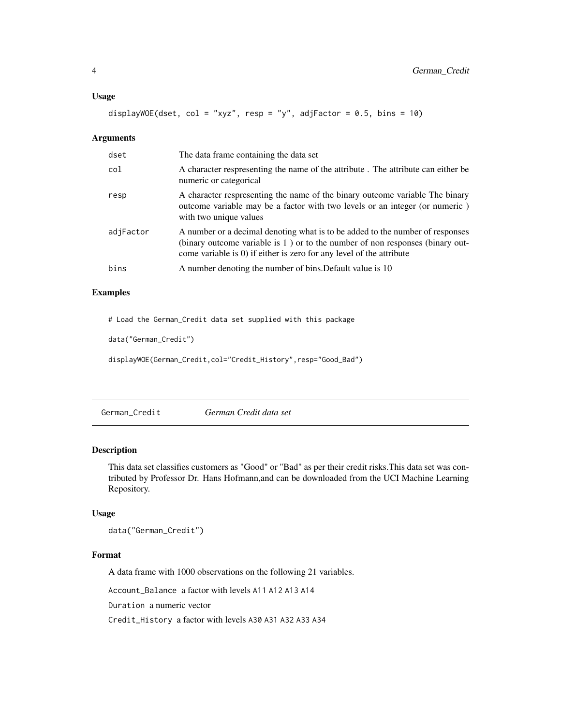<span id="page-3-0"></span>displayWOE(dset,  $col = "xyz", resp = "y", adjFactor = 0.5, bins = 10)$ 

#### Arguments

| dset      | The data frame containing the data set                                                                                                                                                                                                 |
|-----------|----------------------------------------------------------------------------------------------------------------------------------------------------------------------------------------------------------------------------------------|
| col       | A character respresenting the name of the attribute. The attribute can either be<br>numeric or categorical                                                                                                                             |
| resp      | A character respresenting the name of the binary outcome variable The binary<br>outcome variable may be a factor with two levels or an integer (or numeric)<br>with two unique values                                                  |
| adjFactor | A number or a decimal denoting what is to be added to the number of responses<br>(binary outcome variable is 1) or to the number of non responses (binary out-<br>come variable is 0) if either is zero for any level of the attribute |
| bins      | A number denoting the number of bins. Default value is 10                                                                                                                                                                              |

#### Examples

# Load the German\_Credit data set supplied with this package

```
data("German_Credit")
```
displayWOE(German\_Credit,col="Credit\_History",resp="Good\_Bad")

German\_Credit *German Credit data set*

#### Description

This data set classifies customers as "Good" or "Bad" as per their credit risks.This data set was contributed by Professor Dr. Hans Hofmann,and can be downloaded from the UCI Machine Learning Repository.

#### Usage

```
data("German_Credit")
```
#### Format

A data frame with 1000 observations on the following 21 variables.

Account\_Balance a factor with levels A11 A12 A13 A14

Duration a numeric vector

Credit\_History a factor with levels A30 A31 A32 A33 A34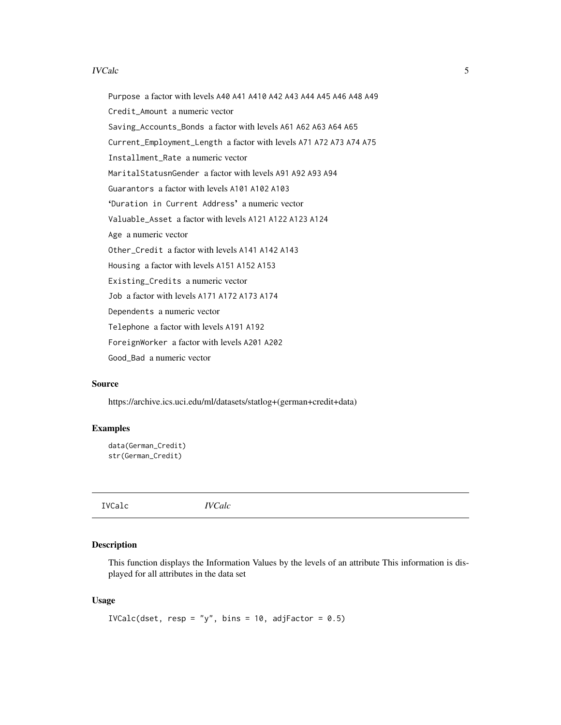#### <span id="page-4-0"></span>IVCalc 5

Purpose a factor with levels A40 A41 A410 A42 A43 A44 A45 A46 A48 A49 Credit\_Amount a numeric vector Saving\_Accounts\_Bonds a factor with levels A61 A62 A63 A64 A65 Current\_Employment\_Length a factor with levels A71 A72 A73 A74 A75 Installment\_Rate a numeric vector MaritalStatusnGender a factor with levels A91 A92 A93 A94 Guarantors a factor with levels A101 A102 A103 'Duration in Current Address' a numeric vector Valuable\_Asset a factor with levels A121 A122 A123 A124 Age a numeric vector Other\_Credit a factor with levels A141 A142 A143 Housing a factor with levels A151 A152 A153 Existing\_Credits a numeric vector Job a factor with levels A171 A172 A173 A174 Dependents a numeric vector Telephone a factor with levels A191 A192 ForeignWorker a factor with levels A201 A202 Good\_Bad a numeric vector

#### Source

https://archive.ics.uci.edu/ml/datasets/statlog+(german+credit+data)

#### Examples

```
data(German_Credit)
str(German_Credit)
```
IVCalc *IVCalc*

#### Description

This function displays the Information Values by the levels of an attribute This information is displayed for all attributes in the data set

```
IVCalc(dset, resp = "y", bins = 10, adjFactor = 0.5)
```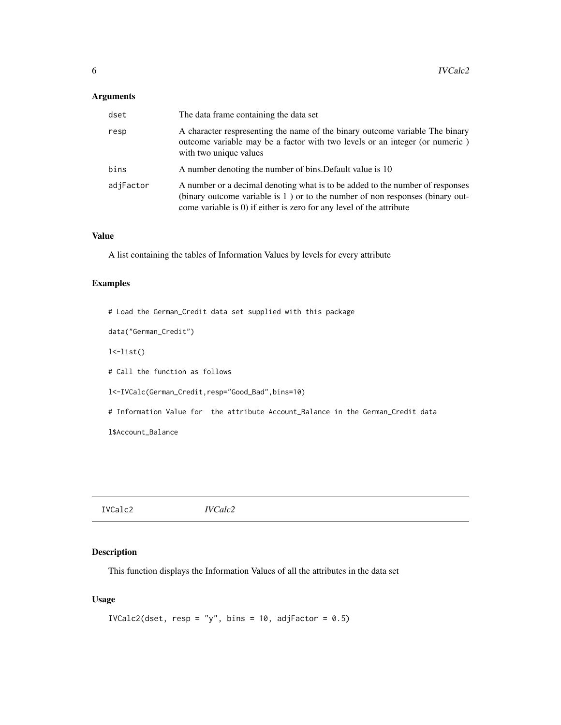#### <span id="page-5-0"></span>Arguments

| dset      | The data frame containing the data set                                                                                                                                                                                                 |
|-----------|----------------------------------------------------------------------------------------------------------------------------------------------------------------------------------------------------------------------------------------|
| resp      | A character respresenting the name of the binary outcome variable The binary<br>outcome variable may be a factor with two levels or an integer (or numeric)<br>with two unique values                                                  |
| bins      | A number denoting the number of bins. Default value is 10                                                                                                                                                                              |
| adjFactor | A number or a decimal denoting what is to be added to the number of responses<br>(binary outcome variable is 1) or to the number of non responses (binary out-<br>come variable is 0) if either is zero for any level of the attribute |

#### Value

A list containing the tables of Information Values by levels for every attribute

#### Examples

# Load the German\_Credit data set supplied with this package

data("German\_Credit")

l<-list()

# Call the function as follows

l<-IVCalc(German\_Credit,resp="Good\_Bad",bins=10)

# Information Value for the attribute Account\_Balance in the German\_Credit data

l\$Account\_Balance

IVCalc2 *IVCalc2*

#### Description

This function displays the Information Values of all the attributes in the data set

```
IVCalc2(dset, resp = "y", bins = 10, adjFactor = 0.5)
```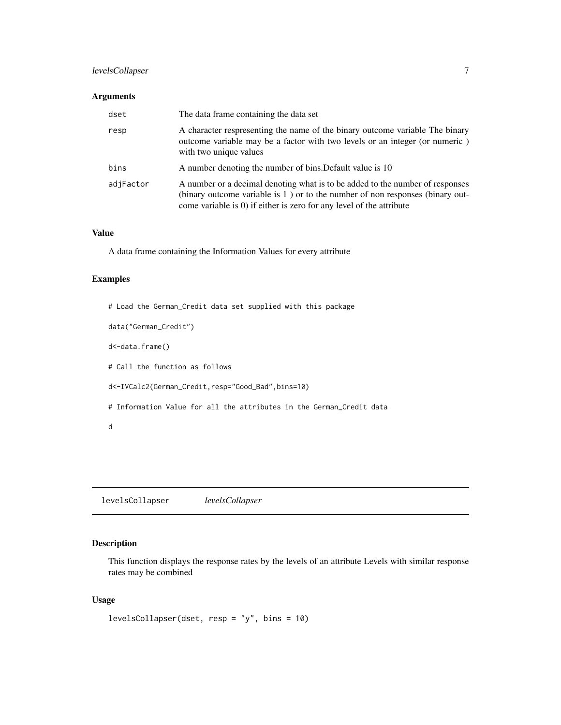#### <span id="page-6-0"></span>levelsCollapser 7

#### Arguments

| dset      | The data frame containing the data set                                                                                                                                                                                                 |
|-----------|----------------------------------------------------------------------------------------------------------------------------------------------------------------------------------------------------------------------------------------|
| resp      | A character respresenting the name of the binary outcome variable The binary<br>outcome variable may be a factor with two levels or an integer (or numeric)<br>with two unique values                                                  |
| bins      | A number denoting the number of bins. Default value is 10                                                                                                                                                                              |
| adjFactor | A number or a decimal denoting what is to be added to the number of responses<br>(binary outcome variable is 1) or to the number of non responses (binary out-<br>come variable is 0) if either is zero for any level of the attribute |

#### Value

A data frame containing the Information Values for every attribute

#### Examples

# Load the German\_Credit data set supplied with this package

```
data("German_Credit")
```
d<-data.frame()

# Call the function as follows

d<-IVCalc2(German\_Credit,resp="Good\_Bad",bins=10)

# Information Value for all the attributes in the German\_Credit data

#### d

levelsCollapser *levelsCollapser*

#### Description

This function displays the response rates by the levels of an attribute Levels with similar response rates may be combined

```
levelsCollapser(dset, resp = "y", bins = 10)
```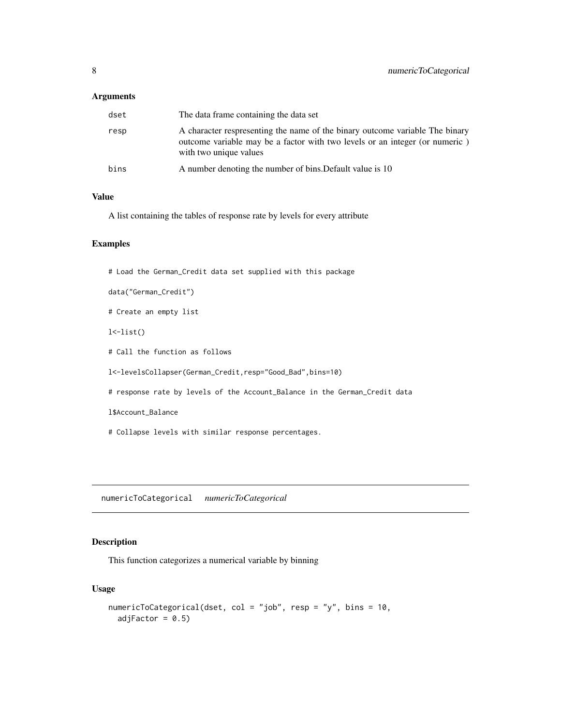#### <span id="page-7-0"></span>Arguments

| dset | The data frame containing the data set                                                                                                                                                |
|------|---------------------------------------------------------------------------------------------------------------------------------------------------------------------------------------|
| resp | A character respresenting the name of the binary outcome variable The binary<br>outcome variable may be a factor with two levels or an integer (or numeric)<br>with two unique values |
| bins | A number denoting the number of bins. Default value is 10                                                                                                                             |

#### Value

A list containing the tables of response rate by levels for every attribute

#### Examples

# Load the German\_Credit data set supplied with this package

data("German\_Credit")

# Create an empty list

 $l$  <  $-list()$ 

# Call the function as follows

l<-levelsCollapser(German\_Credit,resp="Good\_Bad",bins=10)

# response rate by levels of the Account\_Balance in the German\_Credit data

l\$Account\_Balance

# Collapse levels with similar response percentages.

numericToCategorical *numericToCategorical*

#### Description

This function categorizes a numerical variable by binning

```
numericToCategorical(dset, col = "job", resp = "y", bins = 10,
  adjFactor = 0.5)
```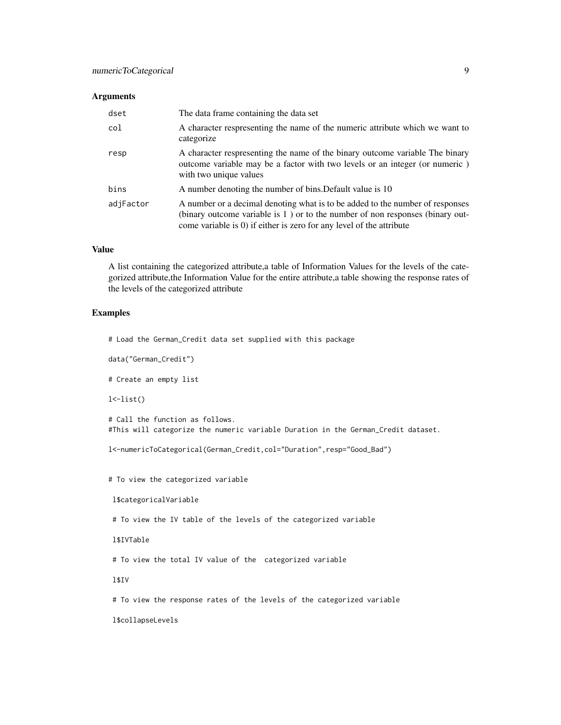#### Arguments

| dset      | The data frame containing the data set                                                                                                                                                                                                 |
|-----------|----------------------------------------------------------------------------------------------------------------------------------------------------------------------------------------------------------------------------------------|
| col       | A character respresenting the name of the numeric attribute which we want to<br>categorize                                                                                                                                             |
| resp      | A character respresenting the name of the binary outcome variable The binary<br>outcome variable may be a factor with two levels or an integer (or numeric)<br>with two unique values                                                  |
| bins      | A number denoting the number of bins. Default value is 10                                                                                                                                                                              |
| adjFactor | A number or a decimal denoting what is to be added to the number of responses<br>(binary outcome variable is 1) or to the number of non responses (binary out-<br>come variable is 0) if either is zero for any level of the attribute |

#### Value

A list containing the categorized attribute,a table of Information Values for the levels of the categorized attribute,the Information Value for the entire attribute,a table showing the response rates of the levels of the categorized attribute

#### Examples

# Load the German\_Credit data set supplied with this package

data("German\_Credit")

# Create an empty list

l<-list()

# Call the function as follows. #This will categorize the numeric variable Duration in the German\_Credit dataset.

l<-numericToCategorical(German\_Credit,col="Duration",resp="Good\_Bad")

# To view the categorized variable

l\$categoricalVariable

# To view the IV table of the levels of the categorized variable

l\$IVTable

# To view the total IV value of the categorized variable

l\$IV

# To view the response rates of the levels of the categorized variable

l\$collapseLevels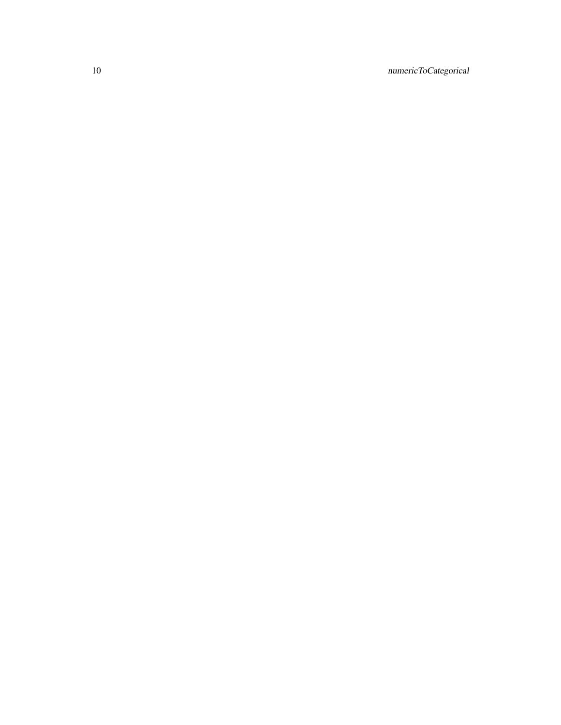numericToCategorical